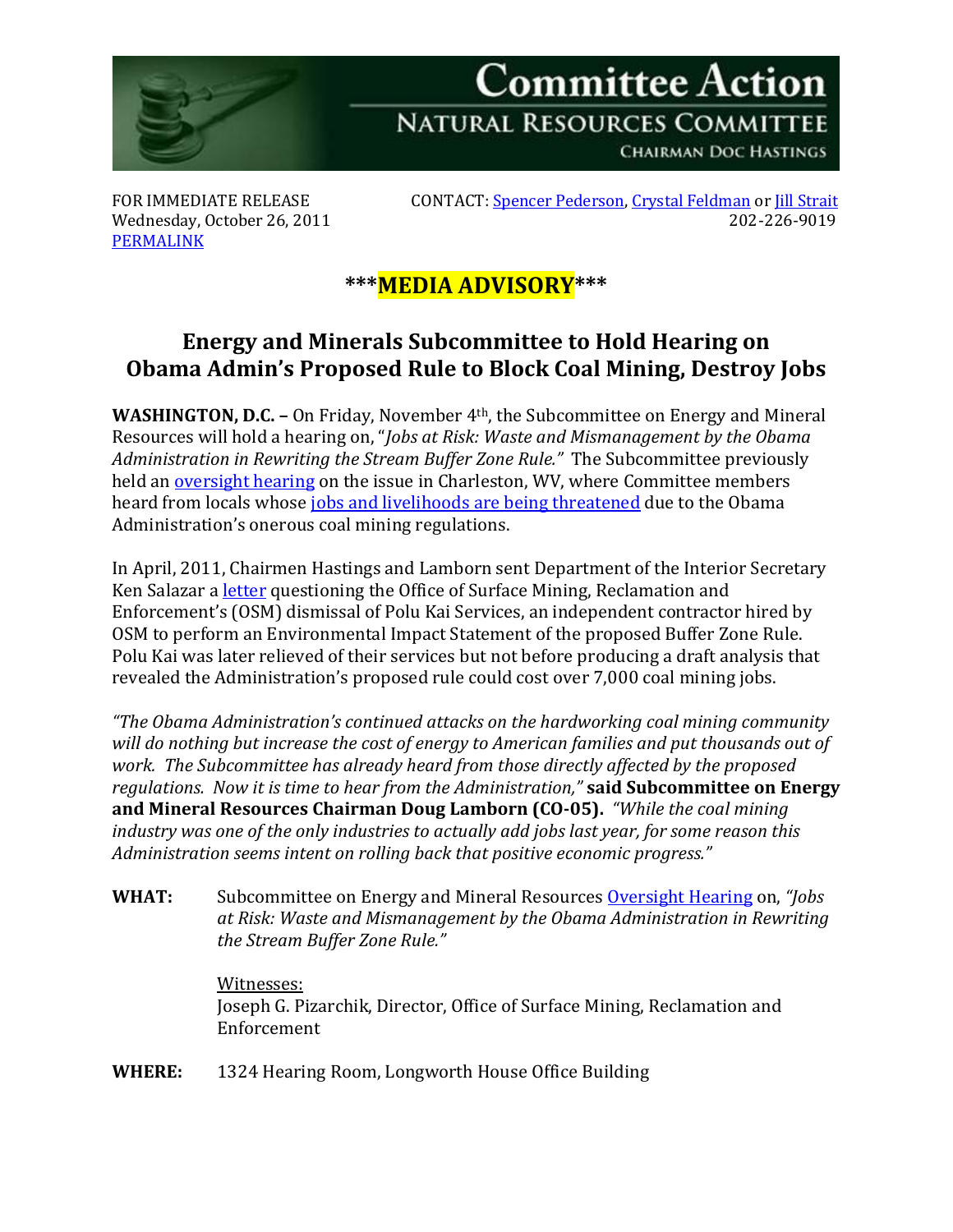

Wednesday, October 26, 2011 [PERMALINK](http://naturalresources.house.gov/News/DocumentSingle.aspx?DocumentID=266148)

FOR IMMEDIATE RELEASE CONTACT: <u>[Spencer Pederson,](mailto:spencer.pederson@mail.house.gov) [Crystal Feldman](mailto:crystal.feldman@mail.house.gov)</u> or <u>Jill Strait</u><br>Wednesdav. October 26. 2011

## **\*\*\*MEDIA ADVISORY\*\*\***

## **Energy and Minerals Subcommittee to Hold Hearing on Obama Admin's Proposed Rule to Block Coal Mining, Destroy Jobs**

**WASHINGTON, D.C. –** On Friday, November 4th, the Subcommittee on Energy and Mineral Resources will hold a hearing on, "*Jobs at Risk: Waste and Mismanagement by the Obama Administration in Rewriting the Stream Buffer Zone Rule."* The Subcommittee previously held an [oversight hearing](http://naturalresources.house.gov/Calendar/EventSingle.aspx?EventID=260381) on the issue in Charleston, WV, where Committee members heard from locals whose [jobs and livelihoods are being threatened](http://naturalresources.house.gov/News/DocumentSingle.aspx?DocumentID=261822) due to the Obama Administration's onerous coal mining regulations.

In April, 2011, Chairmen Hastings and Lamborn sent Department of the Interior Secretary Ken Salazar a *letter* questioning the Office of Surface Mining, Reclamation and Enforcement's (OSM) dismissal of Polu Kai Services, an independent contractor hired by OSM to perform an Environmental Impact Statement of the proposed Buffer Zone Rule. Polu Kai was later relieved of their services but not before producing a draft analysis that revealed the Administration's proposed rule could cost over 7,000 coal mining jobs.

*"The Obama Administration's continued attacks on the hardworking coal mining community will do nothing but increase the cost of energy to American families and put thousands out of work. The Subcommittee has already heard from those directly affected by the proposed regulations. Now it is time to hear from the Administration,"* **said Subcommittee on Energy and Mineral Resources Chairman Doug Lamborn (CO-05).** *"While the coal mining industry was one of the only industries to actually add jobs last year, for some reason this Administration seems intent on rolling back that positive economic progress."*

**WHAT:** Subcommittee on Energy and Mineral Resources [Oversight Hearing](http://naturalresources.house.gov/Calendar/EventSingle.aspx?EventID=266149) on, *"Jobs at Risk: Waste and Mismanagement by the Obama Administration in Rewriting the Stream Buffer Zone Rule."* 

## Witnesses:

Joseph G. Pizarchik, Director, Office of Surface Mining, Reclamation and Enforcement

**WHERE:** 1324 Hearing Room, Longworth House Office Building